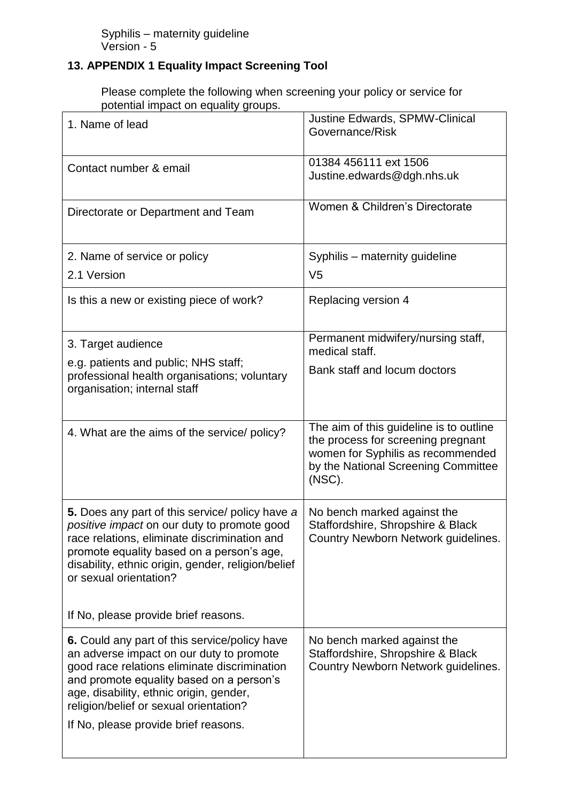## **13. APPENDIX 1 Equality Impact Screening Tool**

Please complete the following when screening your policy or service for potential impact on equality groups.

| 1. Name of lead                                                                                 | Justine Edwards, SPMW-Clinical                                                |
|-------------------------------------------------------------------------------------------------|-------------------------------------------------------------------------------|
|                                                                                                 | Governance/Risk                                                               |
|                                                                                                 |                                                                               |
| Contact number & email                                                                          | 01384 456111 ext 1506<br>Justine.edwards@dgh.nhs.uk                           |
|                                                                                                 |                                                                               |
|                                                                                                 | Women & Children's Directorate                                                |
| Directorate or Department and Team                                                              |                                                                               |
|                                                                                                 |                                                                               |
| 2. Name of service or policy                                                                    | Syphilis - maternity guideline                                                |
| 2.1 Version                                                                                     | V <sub>5</sub>                                                                |
| Is this a new or existing piece of work?                                                        | Replacing version 4                                                           |
|                                                                                                 |                                                                               |
|                                                                                                 |                                                                               |
| 3. Target audience                                                                              | Permanent midwifery/nursing staff,<br>medical staff.                          |
| e.g. patients and public; NHS staff;                                                            | Bank staff and locum doctors                                                  |
| professional health organisations; voluntary                                                    |                                                                               |
| organisation; internal staff                                                                    |                                                                               |
|                                                                                                 |                                                                               |
| 4. What are the aims of the service/ policy?                                                    | The aim of this guideline is to outline<br>the process for screening pregnant |
|                                                                                                 | women for Syphilis as recommended                                             |
|                                                                                                 | by the National Screening Committee                                           |
|                                                                                                 | (NSC).                                                                        |
| 5. Does any part of this service/ policy have a                                                 | No bench marked against the                                                   |
| positive impact on our duty to promote good                                                     | Staffordshire, Shropshire & Black                                             |
| race relations, eliminate discrimination and                                                    | Country Newborn Network guidelines.                                           |
| promote equality based on a person's age,<br>disability, ethnic origin, gender, religion/belief |                                                                               |
| or sexual orientation?                                                                          |                                                                               |
|                                                                                                 |                                                                               |
| If No, please provide brief reasons.                                                            |                                                                               |
|                                                                                                 |                                                                               |
| 6. Could any part of this service/policy have<br>an adverse impact on our duty to promote       | No bench marked against the<br>Staffordshire, Shropshire & Black              |
| good race relations eliminate discrimination                                                    | Country Newborn Network guidelines.                                           |
| and promote equality based on a person's<br>age, disability, ethnic origin, gender,             |                                                                               |
| religion/belief or sexual orientation?                                                          |                                                                               |
| If No, please provide brief reasons.                                                            |                                                                               |
|                                                                                                 |                                                                               |
|                                                                                                 |                                                                               |